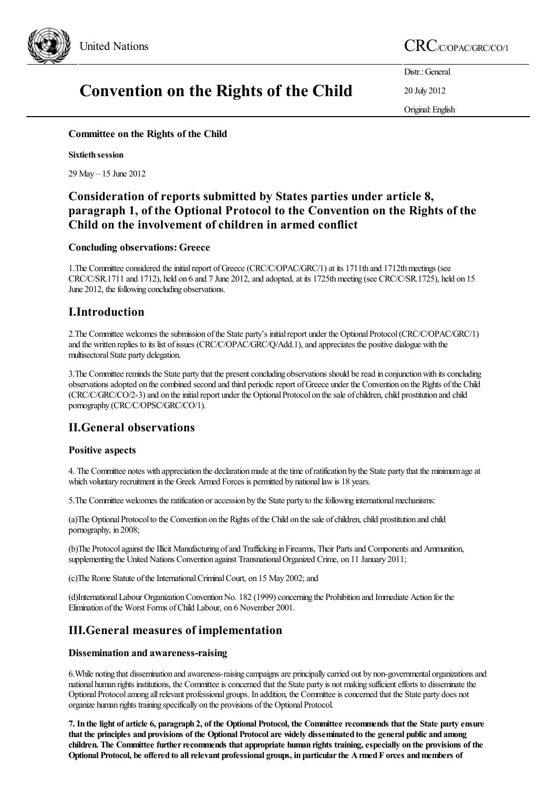

# United Nations CRC/C/OPAC/GRC/CO/1

# Convention on the Rights of the Child

Distr.: General

20 July 2012

Original:English

Committee on the Rights of the Child

#### Sixtieth session

29 May – 15 June 2012

# Consideration of reports submitted by States parties under article 8, paragraph 1, of the Optional Protocol to the Convention on the Rights of the Child on the involvement of children in armed conflict

#### Concluding observations:Greece

1. The Committee considered the initial report of Greece (CRC/C/OPAC/GRC/1) at its 1711th and 1712th meetings (see CRC/C/SR.1711 and 1712), held on 6 and 7 June 2012, and adopted, at its 1725th meeting (see CRC/C/SR.1725), held on 15 June 2012, the following concluding observations.

# I.Introduction

2. The Committee welcomes the submission of the State party's initial report under the Optional Protocol (CRC/C/OPAC/GRC/1) and the written replies to its list of issues (CRC/C/OPAC/GRC/Q/Add.1), and appreciates the positive dialogue with the multisectoral State party delegation.

3. The Committee reminds the State party that the present concluding observations should be read in conjunction with its concluding observations adopted on the combined second and third periodic report of Greece under the Convention on the Rights of the Child (CRC/C/GRC/CO/2-3) and on the initial report under the Optional Protocol on the sale of children, child prostitution and child pornography (CRC/C/OPSC/GRC/CO/1).

# II.General observations

#### Positive aspects

4. The Committee notes with appreciation the declaration made at the time of ratification by the State party that the minimum age at which voluntary recruitment in the Greek Armed Forces is permitted by national law is 18 years.

5. The Committee welcomes the ratification or accession by the State party to the following international mechanisms:

(a)The Optional Protocol to the Convention on the Rights of the Child on the sale of children, child prostitution and child pornography, in 2008;

(b)The Protocol against the Illicit Manufacturing of and Trafficking in Firearms, Their Parts and Components and Ammunition, supplementing the United Nations Convention against Transnational Organized Crime, on 11 January 2011;

(c)The Rome Statute of the International Criminal Court, on 15 May 2002; and

(d)International Labour Organization Convention No. 182 (1999) concerning the Prohibition and Immediate Action for the Elimination ofthe Worst Forms ofChild Labour, on 6 November 2001.

# III.General measures of implementation

#### Dissemination and awareness-raising

6.While noting that dissemination and awareness-raising campaignsare principally carried out by non-governmental organizationsand national human rights institutions, the Committee is concerned that the State party is not making sufficient efforts to disseminate the Optional Protocol among all relevant professional groups. In addition, the Committee is concerned that the State party does not organize human rights training specifically on the provisions of the Optional Protocol.

7. In the light of article 6, paragraph 2, of the Optional Protocol, the Committee recommends that the State party ensure that the principles and provisions of the Optional Protocol are widely disseminated to the general public and among children. The Committee further recommends that appropriate human rights training, especially on the provisions of the Optional Protocol, be offered to all relevant professional groups, in particular the Armed F orces and members of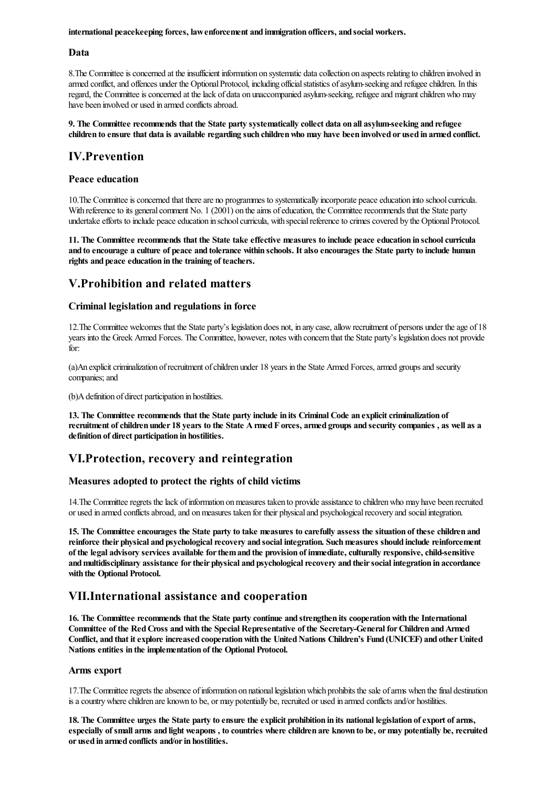international peacekeeping forces, lawenforcement and immigration officers, and social workers.

#### Data

8. The Committee is concerned at the insufficient information on systematic data collection on aspects relating to children involved in armed conflict, and offences under the Optional Protocol, including official statistics of asylum-seeking and refugee children. In this regard, the Committee is concerned at the lack of data on unaccompanied asylum-seeking, refugee and migrant children who may have been involved or used in armed conflicts abroad.

#### 9. The Committee recommends that the State party systematically collect data on all asylum-seeking and refugee children to ensure that data is available regarding such children who may have been involved or used in armed conflict.

# IV.Prevention

#### Peace education

10. The Committee is concerned that there are no programmes to systematically incorporate peace education into school curricula. With reference to its general comment No. 1 (2001) on the aims of education, the Committee recommends that the State party undertake efforts to include peace education in school curricula, with special reference to crimes covered by the Optional Protocol.

11. The Committee recommends that the State take effective measures to include peace education in schoolcurricula and to encourage a culture of peace and tolerance within schools. It also encourages the State party to include human rights and peace education in the training of teachers.

## V.Prohibition and related matters

#### Criminal legislation and regulations in force

12. The Committee welcomes that the State party's legislation does not, in any case, allow recruitment of persons under the age of 18 years into the Greek Armed Forces. The Committee, however, notes with concern that the State party's legislation does not provide for:

(a)An explicit criminalization of recruitment of children under 18 years in the State Armed Forces, armed groups and security companies; and

(b)A definition of direct participation in hostilities.

13. The Committee recommends that the State party include in its Criminal Code an explicit criminalization of recruitment of children under 18 years to the State A rmed F orces, armed groups and security companies, as well as a definition of direct participation in hostilities.

## VI.Protection, recovery and reintegration

#### Measures adopted to protect the rights of child victims

14. The Committee regrets the lack of information on measures taken to provide assistance to children who may have been recruited or used in armed conflicts abroad, and on measures taken for their physical and psychological recovery and social integration.

15. The Committee encourages the State party to take measures to carefully assess the situation of these children and reinforce their physical and psychological recovery and social integration. Such measures should include reinforcement of the legal advisory services available for them and the provision of immediate, culturally responsive, child-sensitive and multidisciplinary assistance for their physical and psychological recovery and their social integration in accordance with the Optional Protocol.

## VII.International assistance and cooperation

16. The Committee recommends that the State party continue and strengthen its cooperation with the International Committee of the Red Cross and with the Special Representative of the Secretary-General for Children and Armed Conflict, and that it explore increased cooperation with the United Nations Children's Fund (UNICEF) and other United Nations entities in the implementation of the Optional Protocol.

#### Arms export

17. The Committee regrets the absence of information on national legislation which prohibits the sale of arms when the final destination is a country where children are known to be, or may potentially be, recruited or used in armed conflicts and/or hostilities.

18. The Committee urges the State party to ensure the explicit prohibition in its national legislation of export of arms, especially of small arms and light weapons, to countries where children are known to be, or may potentially be, recruited or used in armed conflicts and/or in hostilities.